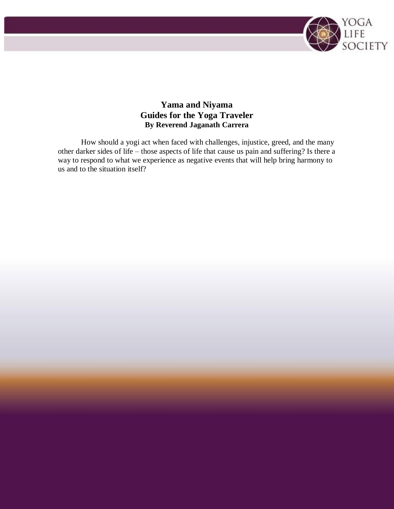

## **Yama and Niyama Guides for the Yoga Traveler By Reverend Jaganath Carrera**

How should a yogi act when faced with challenges, injustice, greed, and the many other darker sides of life – those aspects of life that cause us pain and suffering? Is there a way to respond to what we experience as negative events that will help bring harmony to us and to the situation itself?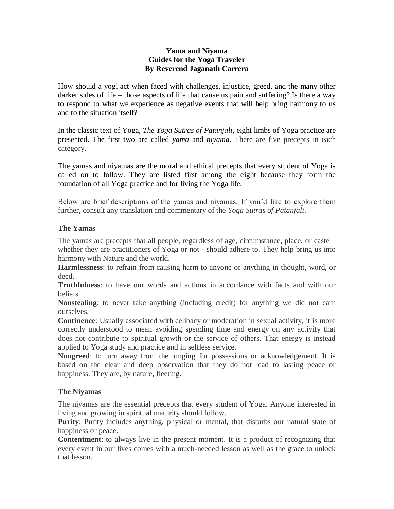## **Yama and Niyama Guides for the Yoga Traveler By Reverend Jaganath Carrera**

How should a yogi act when faced with challenges, injustice, greed, and the many other darker sides of life – those aspects of life that cause us pain and suffering? Is there a way to respond to what we experience as negative events that will help bring harmony to us and to the situation itself?

In the classic text of Yoga, *The Yoga Sutras of Patanjali*, eight limbs of Yoga practice are presented. The first two are called *yama* and *niyama*. There are five precepts in each category.

The yamas and niyamas are the moral and ethical precepts that every student of Yoga is called on to follow. They are listed first among the eight because they form the foundation of all Yoga practice and for living the Yoga life.

Below are brief descriptions of the yamas and niyamas. If you'd like to explore them further, consult any translation and commentary of the *Yoga Sutras of Patanjali*.

## **The Yamas**

The yamas are precepts that all people, regardless of age, circumstance, place, or caste – whether they are practitioners of Yoga or not - should adhere to. They help bring us into harmony with Nature and the world.

**Harmlessness**: to refrain from causing harm to anyone or anything in thought, word, or deed.

**Truthfulness**: to have our words and actions in accordance with facts and with our beliefs.

**Nonstealing**: to never take anything (including credit) for anything we did not earn ourselves.

**Continence**: Usually associated with celibacy or moderation in sexual activity, it is more correctly understood to mean avoiding spending time and energy on any activity that does not contribute to spiritual growth or the service of others. That energy is instead applied to Yoga study and practice and in selfless service.

**Nongreed**: to turn away from the longing for possessions or acknowledgement. It is based on the clear and deep observation that they do not lead to lasting peace or happiness. They are, by nature, fleeting.

## **The Niyamas**

The niyamas are the essential precepts that every student of Yoga. Anyone interested in living and growing in spiritual maturity should follow.

**Purity**: Purity includes anything, physical or mental, that disturbs our natural state of happiness or peace.

**Contentment**: to always live in the present moment. It is a product of recognizing that every event in our lives comes with a much-needed lesson as well as the grace to unlock that lesson.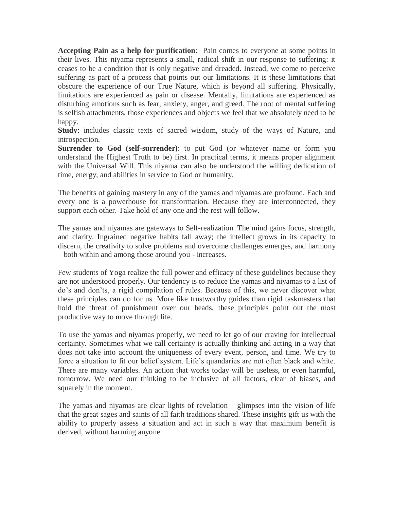**Accepting Pain as a help for purification**: Pain comes to everyone at some points in their lives. This niyama represents a small, radical shift in our response to suffering: it ceases to be a condition that is only negative and dreaded. Instead, we come to perceive suffering as part of a process that points out our limitations. It is these limitations that obscure the experience of our True Nature, which is beyond all suffering. Physically, limitations are experienced as pain or disease. Mentally, limitations are experienced as disturbing emotions such as fear, anxiety, anger, and greed. The root of mental suffering is selfish attachments, those experiences and objects we feel that we absolutely need to be happy.

**Study**: includes classic texts of sacred wisdom, study of the ways of Nature, and introspection.

**Surrender to God (self-surrender)**: to put God (or whatever name or form you understand the Highest Truth to be) first. In practical terms, it means proper alignment with the Universal Will. This niyama can also be understood the willing dedication of time, energy, and abilities in service to God or humanity.

The benefits of gaining mastery in any of the yamas and niyamas are profound. Each and every one is a powerhouse for transformation. Because they are interconnected, they support each other. Take hold of any one and the rest will follow.

The yamas and niyamas are gateways to Self-realization. The mind gains focus, strength, and clarity. Ingrained negative habits fall away; the intellect grows in its capacity to discern, the creativity to solve problems and overcome challenges emerges, and harmony – both within and among those around you - increases.

Few students of Yoga realize the full power and efficacy of these guidelines because they are not understood properly. Our tendency is to reduce the yamas and niyamas to a list of do's and don'ts, a rigid compilation of rules. Because of this, we never discover what these principles can do for us. More like trustworthy guides than rigid taskmasters that hold the threat of punishment over our heads, these principles point out the most productive way to move through life.

To use the yamas and niyamas properly, we need to let go of our craving for intellectual certainty. Sometimes what we call certainty is actually thinking and acting in a way that does not take into account the uniqueness of every event, person, and time. We try to force a situation to fit our belief system. Life's quandaries are not often black and white. There are many variables. An action that works today will be useless, or even harmful, tomorrow. We need our thinking to be inclusive of all factors, clear of biases, and squarely in the moment.

The yamas and niyamas are clear lights of revelation – glimpses into the vision of life that the great sages and saints of all faith traditions shared. These insights gift us with the ability to properly assess a situation and act in such a way that maximum benefit is derived, without harming anyone.